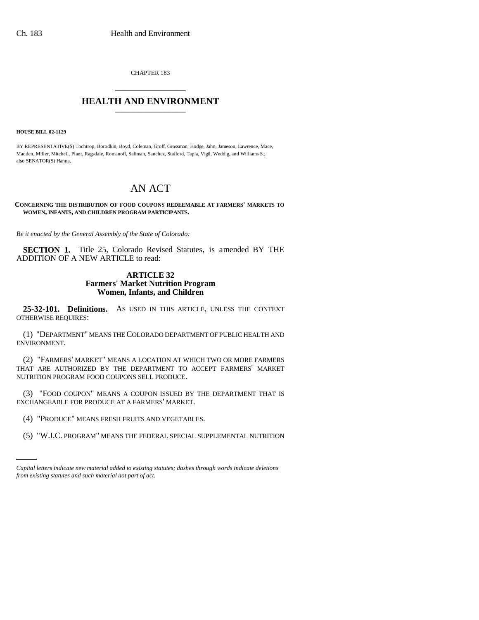CHAPTER 183 \_\_\_\_\_\_\_\_\_\_\_\_\_\_\_

## **HEALTH AND ENVIRONMENT** \_\_\_\_\_\_\_\_\_\_\_\_\_\_\_

**HOUSE BILL 02-1129**

BY REPRESENTATIVE(S) Tochtrop, Borodkin, Boyd, Coleman, Groff, Grossman, Hodge, Jahn, Jameson, Lawrence, Mace, Madden, Miller, Mitchell, Plant, Ragsdale, Romanoff, Saliman, Sanchez, Stafford, Tapia, Vigil, Weddig, and Williams S.; also SENATOR(S) Hanna.

## AN ACT

**CONCERNING THE DISTRIBUTION OF FOOD COUPONS REDEEMABLE AT FARMERS' MARKETS TO WOMEN, INFANTS, AND CHILDREN PROGRAM PARTICIPANTS.**

*Be it enacted by the General Assembly of the State of Colorado:*

**SECTION 1.** Title 25, Colorado Revised Statutes, is amended BY THE ADDITION OF A NEW ARTICLE to read:

## **ARTICLE 32 Farmers' Market Nutrition Program Women, Infants, and Children**

**25-32-101. Definitions.** AS USED IN THIS ARTICLE, UNLESS THE CONTEXT OTHERWISE REQUIRES:

(1) "DEPARTMENT" MEANS THE COLORADO DEPARTMENT OF PUBLIC HEALTH AND ENVIRONMENT.

(2) "FARMERS' MARKET" MEANS A LOCATION AT WHICH TWO OR MORE FARMERS THAT ARE AUTHORIZED BY THE DEPARTMENT TO ACCEPT FARMERS' MARKET NUTRITION PROGRAM FOOD COUPONS SELL PRODUCE.

(3) "FOOD COUPON" MEANS A COUPON ISSUED BY THE DEPARTMENT THAT IS EXCHANGEABLE FOR PRODUCE AT A FARMERS' MARKET.

- (4) "PRODUCE" MEANS FRESH FRUITS AND VEGETABLES.
	- (5) "W.I.C. PROGRAM" MEANS THE FEDERAL SPECIAL SUPPLEMENTAL NUTRITION

*Capital letters indicate new material added to existing statutes; dashes through words indicate deletions from existing statutes and such material not part of act.*